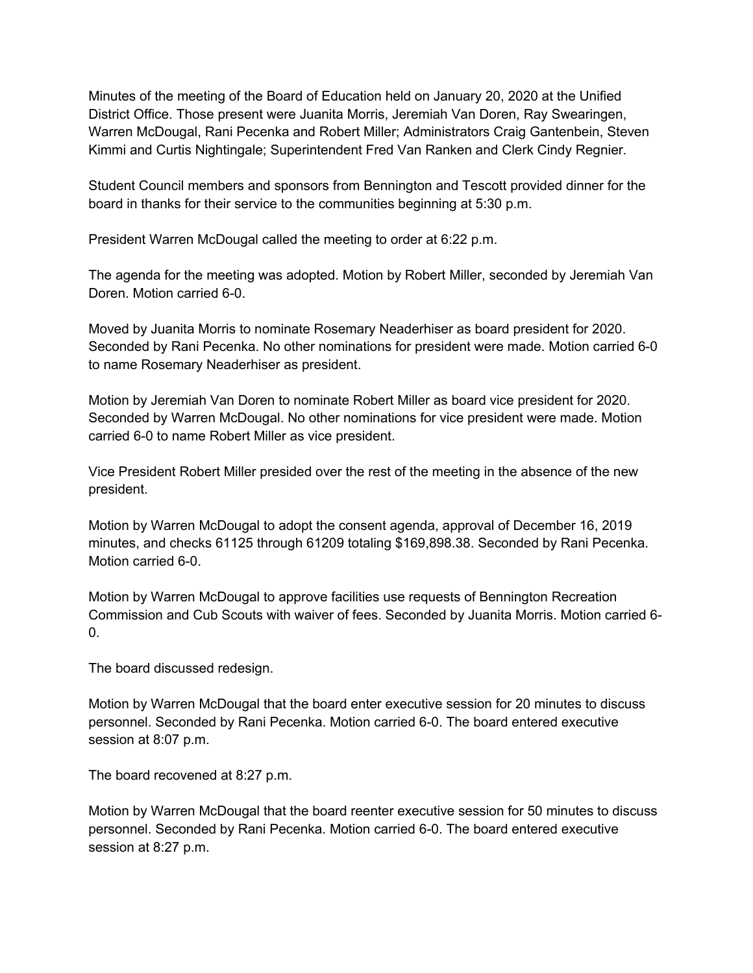Minutes of the meeting of the Board of Education held on January 20, 2020 at the Unified District Office. Those present were Juanita Morris, Jeremiah Van Doren, Ray Swearingen, Warren McDougal, Rani Pecenka and Robert Miller; Administrators Craig Gantenbein, Steven Kimmi and Curtis Nightingale; Superintendent Fred Van Ranken and Clerk Cindy Regnier.

Student Council members and sponsors from Bennington and Tescott provided dinner for the board in thanks for their service to the communities beginning at 5:30 p.m.

President Warren McDougal called the meeting to order at 6:22 p.m.

The agenda for the meeting was adopted. Motion by Robert Miller, seconded by Jeremiah Van Doren. Motion carried 6-0.

Moved by Juanita Morris to nominate Rosemary Neaderhiser as board president for 2020. Seconded by Rani Pecenka. No other nominations for president were made. Motion carried 6-0 to name Rosemary Neaderhiser as president.

Motion by Jeremiah Van Doren to nominate Robert Miller as board vice president for 2020. Seconded by Warren McDougal. No other nominations for vice president were made. Motion carried 6-0 to name Robert Miller as vice president.

Vice President Robert Miller presided over the rest of the meeting in the absence of the new president.

Motion by Warren McDougal to adopt the consent agenda, approval of December 16, 2019 minutes, and checks 61125 through 61209 totaling \$169,898.38. Seconded by Rani Pecenka. Motion carried 6-0.

Motion by Warren McDougal to approve facilities use requests of Bennington Recreation Commission and Cub Scouts with waiver of fees. Seconded by Juanita Morris. Motion carried 6-  $0<sub>l</sub>$ 

The board discussed redesign.

Motion by Warren McDougal that the board enter executive session for 20 minutes to discuss personnel. Seconded by Rani Pecenka. Motion carried 6-0. The board entered executive session at 8:07 p.m.

The board recovened at 8:27 p.m.

Motion by Warren McDougal that the board reenter executive session for 50 minutes to discuss personnel. Seconded by Rani Pecenka. Motion carried 6-0. The board entered executive session at 8:27 p.m.